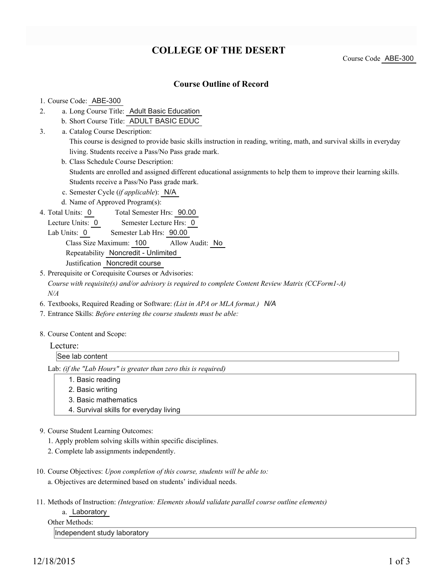# **COLLEGE OF THE DESERT**

Course Code ABE-300

### **Course Outline of Record**

#### 1. Course Code: ABE-300

3.

- a. Long Course Title: Adult Basic Education 2.
	- b. Short Course Title: ADULT BASIC EDUC
	- Catalog Course Description: a. This course is designed to provide basic skills instruction in reading, writing, math, and survival skills in everyday living. Students receive a Pass/No Pass grade mark.
	- b. Class Schedule Course Description: Students are enrolled and assigned different educational assignments to help them to improve their learning skills. Students receive a Pass/No Pass grade mark.
	- c. Semester Cycle (*if applicable*): N/A
	- d. Name of Approved Program(s):
- Total Semester Hrs: 90.00 4. Total Units: 0
	- Lecture Units: 0 Semester Lecture Hrs: 0
	- Lab Units: 0 Semester Lab Hrs: 90.00

Class Size Maximum: 100 Allow Audit: No

Repeatability Noncredit - Unlimited

- Justification Noncredit course
- 5. Prerequisite or Corequisite Courses or Advisories:

*Course with requisite(s) and/or advisory is required to complete Content Review Matrix (CCForm1-A) N/A*

- 6. Textbooks, Required Reading or Software: *(List in APA or MLA format.) N/A*
- 7. Entrance Skills: *Before entering the course students must be able:*
- 8. Course Content and Scope:

| $\overline{\phantom{a}}$ | $-1$<br>ectur                |
|--------------------------|------------------------------|
|                          | <sup>1</sup> See lau<br>neni |
|                          |                              |

Lab: *(if the "Lab Hours" is greater than zero this is required)*

- 1. Basic reading
- 2. Basic writing
- 3. Basic mathematics
- 4. Survival skills for everyday living
- 9. Course Student Learning Outcomes:
	- 1. Apply problem solving skills within specific disciplines.
	- 2. Complete lab assignments independently.
- 10. Course Objectives: Upon completion of this course, students will be able to: a. Objectives are determined based on students' individual needs.
- 11. Methods of Instruction: *(Integration: Elements should validate parallel course outline elements)*

a. Laboratory

Other Methods:

Independent study laboratory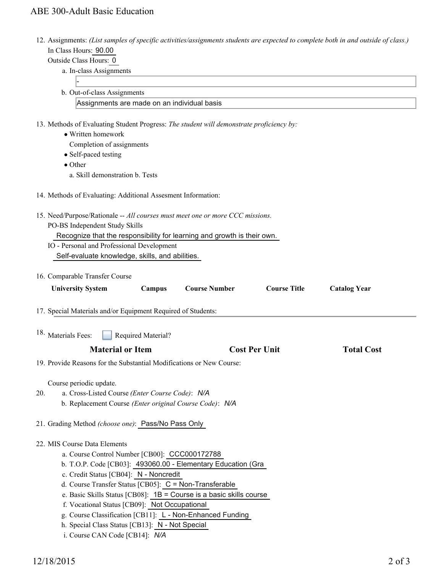## ABE 300-Adult Basic Education

12. Assignments: (List samples of specific activities/assignments students are expected to complete both in and outside of class.)  $H_{\text{current}}$ , 90.00

| In Class Hours: 90.00                                                                                                  |                                             |                     |  |
|------------------------------------------------------------------------------------------------------------------------|---------------------------------------------|---------------------|--|
| Outside Class Hours: 0                                                                                                 |                                             |                     |  |
| a. In-class Assignments                                                                                                |                                             |                     |  |
|                                                                                                                        |                                             |                     |  |
| b. Out-of-class Assignments                                                                                            |                                             |                     |  |
| Assignments are made on an individual basis                                                                            |                                             |                     |  |
|                                                                                                                        |                                             |                     |  |
| 13. Methods of Evaluating Student Progress: The student will demonstrate proficiency by:                               |                                             |                     |  |
| • Written homework                                                                                                     |                                             |                     |  |
| Completion of assignments                                                                                              |                                             |                     |  |
| • Self-paced testing                                                                                                   |                                             |                     |  |
| $\bullet$ Other                                                                                                        |                                             |                     |  |
| a. Skill demonstration b. Tests                                                                                        |                                             |                     |  |
| 14. Methods of Evaluating: Additional Assesment Information:                                                           |                                             |                     |  |
| 15. Need/Purpose/Rationale -- All courses must meet one or more CCC missions.                                          |                                             |                     |  |
| PO-BS Independent Study Skills                                                                                         |                                             |                     |  |
| Recognize that the responsibility for learning and growth is their own.                                                |                                             |                     |  |
| IO - Personal and Professional Development                                                                             |                                             |                     |  |
| Self-evaluate knowledge, skills, and abilities.                                                                        |                                             |                     |  |
|                                                                                                                        |                                             |                     |  |
| 16. Comparable Transfer Course                                                                                         |                                             |                     |  |
| <b>University System</b><br>Campus                                                                                     | <b>Course Number</b><br><b>Course Title</b> | <b>Catalog Year</b> |  |
|                                                                                                                        |                                             |                     |  |
| 17. Special Materials and/or Equipment Required of Students:                                                           |                                             |                     |  |
| 18. Materials Fees:                                                                                                    |                                             |                     |  |
| Required Material?<br><b>Material or Item</b>                                                                          | <b>Cost Per Unit</b>                        | <b>Total Cost</b>   |  |
|                                                                                                                        |                                             |                     |  |
| 19. Provide Reasons for the Substantial Modifications or New Course:                                                   |                                             |                     |  |
| Course periodic update.                                                                                                |                                             |                     |  |
| 20.<br>a. Cross-Listed Course (Enter Course Code): N/A                                                                 |                                             |                     |  |
| b. Replacement Course (Enter original Course Code): N/A                                                                |                                             |                     |  |
|                                                                                                                        |                                             |                     |  |
| 21. Grading Method (choose one): Pass/No Pass Only                                                                     |                                             |                     |  |
| 22. MIS Course Data Elements                                                                                           |                                             |                     |  |
| a. Course Control Number [CB00]: CCC000172788                                                                          |                                             |                     |  |
| b. T.O.P. Code [CB03]: 493060.00 - Elementary Education (Gra                                                           |                                             |                     |  |
| c. Credit Status [CB04]: N - Noncredit                                                                                 |                                             |                     |  |
| d. Course Transfer Status [CB05]: C = Non-Transferable                                                                 |                                             |                     |  |
|                                                                                                                        |                                             |                     |  |
|                                                                                                                        |                                             |                     |  |
| e. Basic Skills Status [CB08]: $1B =$ Course is a basic skills course<br>f. Vocational Status [CB09]: Not Occupational |                                             |                     |  |

- g. Course Classification [CB11]: L Non-Enhanced Funding
- h. Special Class Status [CB13]: N Not Special
- i. Course CAN Code [CB14]: *N/A*